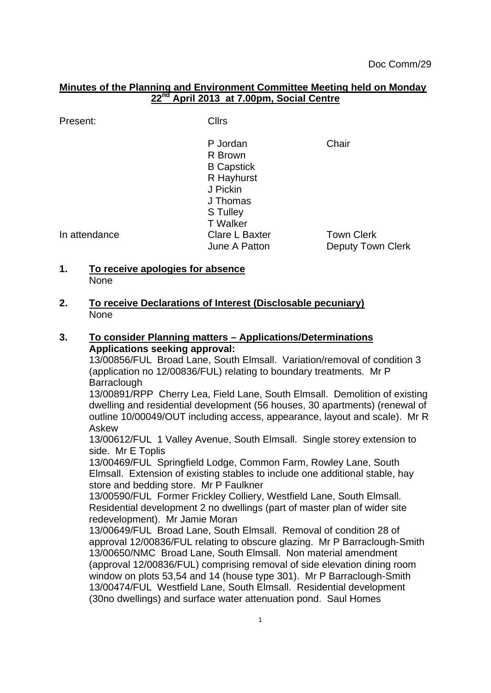## **Minutes of the Planning and Environment Committee Meeting held on Monday 22nd April 2013 at 7.00pm, Social Centre**

Present: Cllrs

P Jordan Chair R Brown B Capstick R Hayhurst J Pickin J Thomas S Tulley T Walker In attendance Clare L Baxter Town Clerk June A Patton **Deputy Town Clerk** 

### **1. To receive apologies for absence** None

**2. To receive Declarations of Interest (Disclosable pecuniary)** None

### **3. To consider Planning matters – Applications/Determinations Applications seeking approval:**

13/00856/FUL Broad Lane, South Elmsall. Variation/removal of condition 3 (application no 12/00836/FUL) relating to boundary treatments. Mr P **Barraclough** 

13/00891/RPP Cherry Lea, Field Lane, South Elmsall. Demolition of existing dwelling and residential development (56 houses, 30 apartments) (renewal of outline 10/00049/OUT including access, appearance, layout and scale). Mr R Askew

13/00612/FUL 1 Valley Avenue, South Elmsall. Single storey extension to side. Mr E Toplis

13/00469/FUL Springfield Lodge, Common Farm, Rowley Lane, South Elmsall. Extension of existing stables to include one additional stable, hay store and bedding store. Mr P Faulkner

13/00590/FUL Former Frickley Colliery, Westfield Lane, South Elmsall. Residential development 2 no dwellings (part of master plan of wider site redevelopment). Mr Jamie Moran

13/00649/FUL Broad Lane, South Elmsall. Removal of condition 28 of approval 12/00836/FUL relating to obscure glazing. Mr P Barraclough-Smith 13/00650/NMC Broad Lane, South Elmsall. Non material amendment (approval 12/00836/FUL) comprising removal of side elevation dining room window on plots 53,54 and 14 (house type 301). Mr P Barraclough-Smith 13/00474/FUL Westfield Lane, South Elmsall. Residential development (30no dwellings) and surface water attenuation pond. Saul Homes